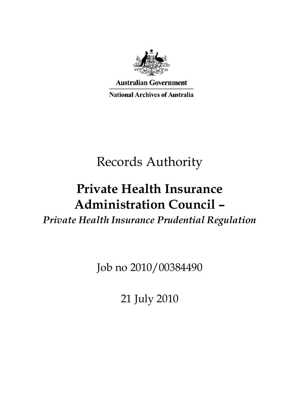

**Australian Government National Archives of Australia** 

# Records Authority

## **Private Health Insurance Administration Council –**

*Private Health Insurance Prudential Regulation* 

Job no 2010/00384490

21 July 2010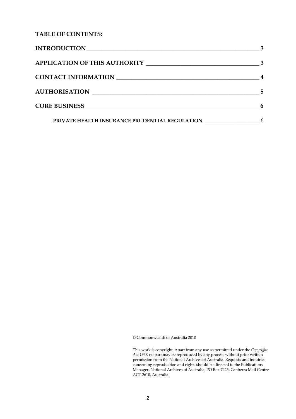**TABLE OF CONTENTS:** 

| INTRODUCTION                                   |    |
|------------------------------------------------|----|
| <b>APPLICATION OF THIS AUTHORITY</b>           |    |
| <b>CONTACT INFORMATION</b>                     |    |
| <b>AUTHORISATION</b>                           | -5 |
| <b>CORE BUSINESS</b>                           | 6  |
| PRIVATE HEALTH INSURANCE PRUDENTIAL REGULATION | 6  |

© Commonwealth of Australia 2010

This work is copyright. Apart from any use as permitted under the *Copyright Act 1968,* no part may be reproduced by any process without prior written permission from the National Archives of Australia. Requests and inquiries concerning reproduction and rights should be directed to the Publications Manager, National Archives of Australia, PO Box 7425, Canberra Mail Centre ACT 2610, Australia.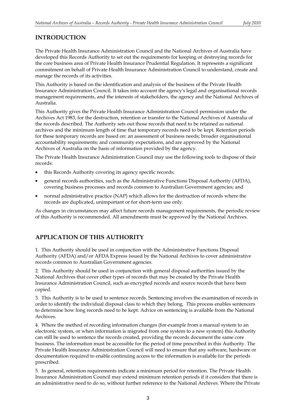#### <span id="page-2-0"></span>**INTRODUCTION**

The Private Health Insurance Administration Council and the National Archives of Australia have developed this Records Authority to set out the requirements for keeping or destroying records for the core business area of Private Health Insurance Prudential Regulation. It represents a significant commitment on behalf of Private Health Insurance Administration Council to understand, create and manage the records of its activities.

This Authority is based on the identification and analysis of the business of the Private Health Insurance Administration Council. It takes into account the agency's legal and organisational records management requirements, and the interests of stakeholders, the agency and the National Archives of Australia.

This Authority gives the Private Health Insurance Administration Council permission under the Archives Act 1983, for the destruction, retention or transfer to the National Archives of Australia of the records described. The Authority sets out those records that need to be retained as national archives and the minimum length of time that temporary records need to be kept. Retention periods for these temporary records are based on: an assessment of business needs; broader organisational accountability requirements; and community expectations, and are approved by the National Archives of Australia on the basis of information provided by the agency.

The Private Health Insurance Administration Council may use the following tools to dispose of their records:

- this Records Authority covering its agency specific records;
- general records authorities, such as the Administrative Functions Disposal Authority (AFDA), covering business processes and records common to Australian Government agencies; and
- normal administrative practice (NAP) which allows for the destruction of records where the records are duplicated, unimportant or for short-term use only.

As changes in circumstances may affect future records management requirements, the periodic review of this Authority is recommended. All amendments must be approved by the National Archives.

### **APPLICATION OF THIS AUTHORITY**

1. This Authority should be used in conjunction with the Administrative Functions Disposal Authority (AFDA) and/or AFDA Express issued by the National Archives to cover administrative records common to Australian Government agencies.

2. This Authority should be used in conjunction with general disposal authorities issued by the National Archives that cover other types of records that may be created by the Private Health Insurance Administration Council, such as encrypted records and source records that have been copied.

3. This Authority is to be used to sentence records. Sentencing involves the examination of records in order to identify the individual disposal class to which they belong. This process enables sentencers to determine how long records need to be kept. Advice on sentencing is available from the National Archives.

4. Where the method of recording information changes (for example from a manual system to an electronic system, or when information is migrated from one system to a new system) this Authority can still be used to sentence the records created, providing the records document the same core business. The information must be accessible for the period of time prescribed in this Authority. The Private Health Insurance Administration Council will need to ensure that any software, hardware or documentation required to enable continuing access to the information is available for the periods prescribed.

5. In general, retention requirements indicate a minimum period for retention. The Private Health Insurance Administration Council may extend minimum retention periods if it considers that there is an administrative need to do so, without further reference to the National Archives. Where the Private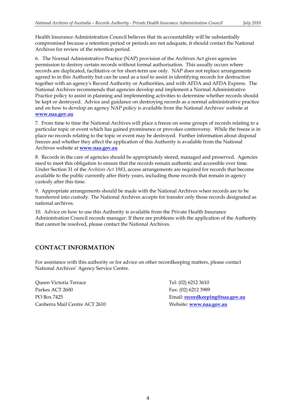Health Insurance Administration Council believes that its accountability will be substantially compromised because a retention period or periods are not adequate, it should contact the National Archives for review of the retention period.

 6. The Normal Administrative Practice (NAP) provision of the Archives Act gives agencies permission to destroy certain records without formal authorisation. This usually occurs where be kept or destroyed. Advice and guidance on destroying records as a normal administrative practice records are duplicated, facilitative or for short-term use only. NAP does not replace arrangements agreed to in this Authority but can be used as a tool to assist in identifying records for destruction together with an agency's Record Authority or Authorities, and with AFDA and AFDA Express. The National Archives recommends that agencies develop and implement a Normal Administrative Practice policy to assist in planning and implementing activities to determine whether records should and on how to develop an agency NAP policy is available from the National Archives' website at **www.naa.gov.au** 

 place no records relating to the topic or event may be destroyed. Further information about disposal 7. From time to time the National Archives will place a freeze on some groups of records relating to a particular topic or event which has gained prominence or provokes controversy. While the freeze is in freezes and whether they affect the application of this Authority is available from the National Archives website at **www.naa.gov.au** 

 8. Records in the care of agencies should be appropriately stored, managed and preserved. Agencies need to meet this obligation to ensure that the records remain authentic and accessible over time. Under Section 31 of the *Archives Act 1983*, access arrangements are required for records that become available to the public currently after thirty years, including those records that remain in agency custody after this time.

9. Appropriate arrangements should be made with the National Archives when records are to be transferred into custody. The National Archives accepts for transfer only those records designated as national archives.

 10. Advice on how to use this Authority is available from the Private Health Insurance Administration Council records manager. If there are problems with the application of the Authority that cannot be resolved, please contact the National Archives.

### **CONTACT INFORMATION**

For assistance with this authority or for advice on other recordkeeping matters, please contact National Archives' Agency Service Centre.

Queen Victoria Terrace Parkes ACT 2600 PO Box 7425 Canberra Mail Centre ACT 2610

 Fax: (02) 6212 3989 Email: **recordkeeping@naa.gov.au** Tel: (02) 6212 3610 Website: **www.naa.gov.au**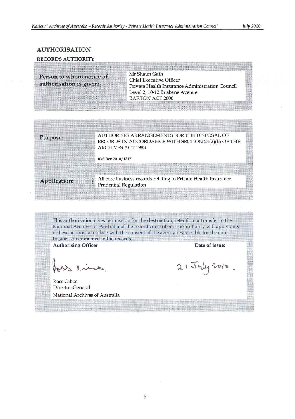".1 ....

#### AUTHORISATION

#### RECORDS AUTHORITY F.i!"=o.., iI.

Person to whom notice of authorisation is given:

 $~^{\circ}$  Mr Shaun Gath Chief Executive Officer Private Health Insurance Administration Council Level 2, 10-12 Brisbane Avenue BARTON ACT 2600

Purpose: "AUTHORISES ARRANGEMENTS FOR THE DISPOSAL OF RECORDS IN ACCORDANCE WITH SECTION 24(2)(b) OF THE ARCHIVES ACT 1983

RkS Ref: 2010/ 1317

Application:

g-- \_'\_"'" "',, All core business records relating to Private Health Insurance Prudential Regulation

Thls authorisation gives permission for the destruction, retention or transfer to the National Archives of Australia of the records described. The authority will apply only if these actions take place with the consent of the agency responsible for the core business documented in the records.

*" ,.--\_\_* ~~."""~~~~~~=m~~--·.-,~~-·--*..* "W--··-n~~---------~ *•.* ~h *.*• - •• ,...----~~~~~--\_w\_w~

**Authorising Officer** 

eins

Ross Gibbs Director-General National Archives of Australia

Date of issue:

!

21 July 2010.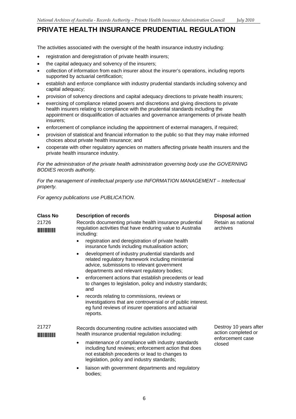The activities associated with the oversight of the health insurance industry including:

- registration and deregistration of private health insurers;
- the capital adequacy and solvency of the insurers:
- collection of information from each insurer about the insurer's operations, including reports supported by actuarial certification;
- establish and enforce compliance with industry prudential standards including solvency and capital adequacy;
- provision of solvency directions and capital adequacy directions to private health insurers;
- • exercising of compliance related powers and discretions and giving directions to private health insurers relating to compliance with the prudential standards including the appointment or disqualification of actuaries and governance arrangements of private health insurers;
- enforcement of compliance including the appointment of external managers, if required;
- • provision of statistical and financial information to the public so that they may make informed choices about private health insurance; and
- • cooperate with other regulatory agencies on matters affecting private health insurers and the private health insurance industry.

*For the administration of the private health administration governing body use the GOVERNING BODIES records authority.* 

*For the management of intellectual property use INFORMATION MANAGEMENT – Intellectual property.* 

*For agency publications use PUBLICATION.* 

| <b>Class No</b>            | <b>Description of records</b>                                                                                                                                                                                           | <b>Disposal action</b>                                                      |
|----------------------------|-------------------------------------------------------------------------------------------------------------------------------------------------------------------------------------------------------------------------|-----------------------------------------------------------------------------|
| 21726                      | Records documenting private health insurance prudential<br>regulation activities that have enduring value to Australia<br>including:                                                                                    | Retain as national<br>archives                                              |
|                            | registration and deregistration of private health<br>$\bullet$<br>insurance funds including mutualisation action;                                                                                                       |                                                                             |
|                            | development of industry prudential standards and<br>٠<br>related regulatory framework including ministerial<br>advice, submissions to relevant government<br>departments and relevant regulatory bodies;                |                                                                             |
|                            | enforcement actions that establish precedents or lead<br>$\bullet$<br>to changes to legislation, policy and industry standards;<br>and                                                                                  |                                                                             |
|                            | records relating to commissions, reviews or<br>$\bullet$<br>investigations that are controversial or of public interest.<br>eg fund reviews of insurer operations and actuarial<br>reports.                             |                                                                             |
| 21727<br><u> Hill Hill</u> | Records documenting routine activities associated with<br>health insurance prudential regulation including:                                                                                                             | Destroy 10 years after<br>action completed or<br>enforcement case<br>closed |
|                            | maintenance of compliance with industry standards<br>$\bullet$<br>including fund reviews; enforcement action that does<br>not establish precedents or lead to changes to<br>legislation, policy and industry standards; |                                                                             |
|                            | liaison with government departments and regulatory<br>٠<br>bodies;                                                                                                                                                      |                                                                             |

6